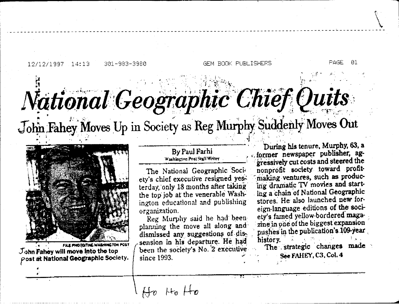12/12/1997 14:13 301-983-3980

## National Geographic Chief Quits

GEM BOOK PUBLISHERS

John Fahey Moves Up in Society as Reg Murphy Suddenly Moves Out



FILE PHOTO/THE WASHINGTON POST John Fahey will move into the top Post at National Geographic Society.

## By Paul Farhi Washington Post Staff Writer

The National Geographic Society's chief executive resigned yesterday, only 18 months after taking the top job at the venerable Washington educational and publishing organization.

Reg Murphy said he had beenplanning the move all along and dismissed any suggestions of dissension in his departure. He had been the society's No. 2 executive since 1993.

During his tenure, Murphy, 63, a former newspaper publisher, aggressively cut costs and steered the nonprofit society toward profitmaking ventures, such as producing dramatic TV movies and starting a chain of National Geographic stores. He also launched new foreign-language editions of the society's famed yellow-bordered magazine in one of the biggest expansion pushes in the publication's 109-year. history.

The strategic changes made See FAHEY, C3, Col. 4

ค1